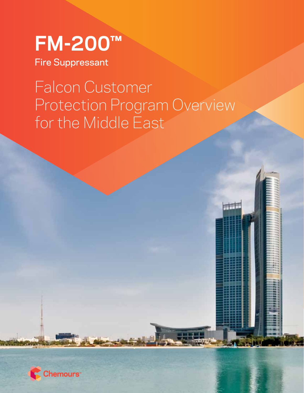

Fire Suppressant

# Falcon Customer Protection Program Overview for the Middle East



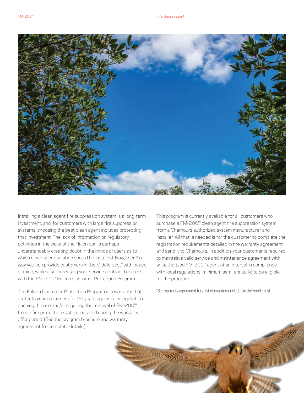

Installing a clean agent fire suppression system is a long-term investment; and, for customers with large fire suppression systems, choosing the best clean agent includes protecting that investment. The lack of information on regulatory activities in the wake of the Halon ban is perhaps understandably creating doubt in the minds of users as to which clean agent solution should be installed. Now, there's a way you can provide customers in the Middle East\* with peace of mind, while also increasing your service contract business with the FM-200™ Falcon Customer Protection Program.

The Falcon Customer Protection Program is a warranty that protects your customers for 20 years against any legislation banning the use and/or requiring the removal of FM-200™ from a fire protection system installed during the warranty offer period. (See the program brochure and warranty agreement for complete details.)

This program is currently available for all customers who purchase a FM-200™ clean agent fire suppression system from a Chemours authorized system manufacturer and installer. All that is needed is for the customer to complete the registration requirements detailed in the warranty agreement and send it to Chemours. In addition, your customer is required to maintain a valid service and maintenance agreement with an authorized FM-200™ agent at an interval in compliance with local regulations (minimum semi-annually) to be eligible for the program.

\*See warranty agreement for a list of countries included in the Middle East.

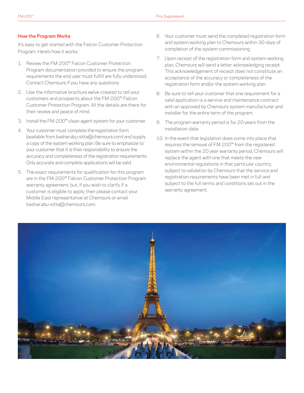## **How the Program Works**

It's easy to get started with the Falcon Customer Protection Program. Here's how it works:

- 1. Review the FM-200™ Falcon Customer Protection Program documentation provided to ensure the program requirements the end user must fulfill are fully understood. Contact Chemours if you have any questions.
- 2. Use the informative brochure we've created to tell your customers and prospects about the FM-200™ Falcon Customer Protection Program. All the details are there for their review and peace of mind.
- 3. Install the FM-200™ clean agent system for your customer.
- 4. Your customer must complete the registration form (available from bashar.abu-sitta@chemours.com) and supply a copy of the system working plan. Be sure to emphasize to your customer that it is their responsibility to ensure the accuracy and completeness of the registration requirements. Only accurate and complete applications will be valid.
- 5. The exact requirements for qualification for this program are in the FM-200™ Falcon Customer Protection Program warranty agreement; but, if you wish to clarify if a customer is eligible to apply, then please contact your Middle East representative at Chemours or email bashar.abu-sitta@chemours.com.
- 6. Your customer must send the completed registration form and system working plan to Chemours within 30 days of completion of the system commissioning.
- 7. Upon receipt of the registration form and system working plan, Chemours will send a letter acknowledging receipt. This acknowledgement of receipt does not constitute an acceptance of the accuracy or completeness of the registration form and/or the system working plan.
- 8. Be sure to tell your customer that one requirement for a valid application is a service and maintenance contract with an approved by Chemours system manufacturer and installer for the entire term of the program.
- 9. The program warranty period is for 20 years from the installation date.
- 10. In the event that legislation does come into place that requires the removal of FM 200™ from the registered system within the 20 year warranty period, Chemours will replace the agent with one that meets the new environmental regulations in that particular country, subject to validation by Chemours that the service and registration requirements have been met in full and subject to the full terms and conditions set out in the warranty agreement.